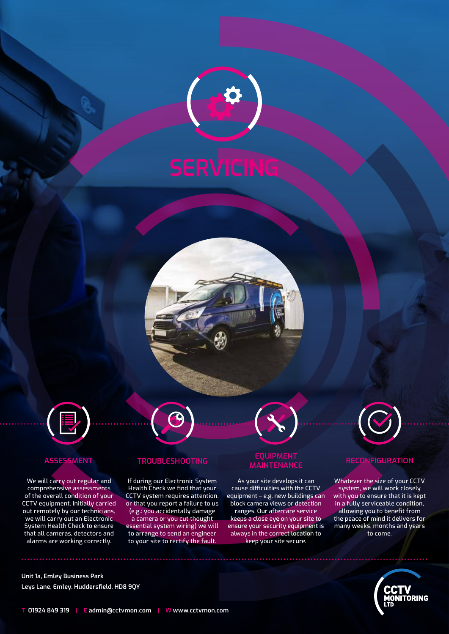





We will carry out regular and comprehensive assessments of the overall condition of your CCTV equipment. Initially carried out remotely by our technicians, we will carry out an Electronic System Health Check to ensure that all cameras, detectors and alarms are working correctly.

If during our Electronic System Health Check we find that your CCTV system requires attention, or that you report a failure to us (e.g.: you accidentally damage a camera or you cut thought essential system wiring) we will to arrange to send an engineer to your site to rectify the fault.

## **ASSESSMENT TROUBLESHOOTING EQUIPMENT MAINTENANCE RECONFIGURATION**

As your site develops it can cause difficulties with the CCTV equipment – e.g. new buildings can block camera views or detection ranges. Our aftercare service keeps a close eye on your site to ensure your security equipment is always in the correct location to keep your site secure.



Whatever the size of your CCTV system, we will work closely with you to ensure that it is kept in a fully serviceable condition, allowing you to benefit from the peace of mind it delivers for many weeks, months and years to come.



**Unit 1a, Emley Business Park Leys Lane, Emley, Huddersfield, HD8 9QY**